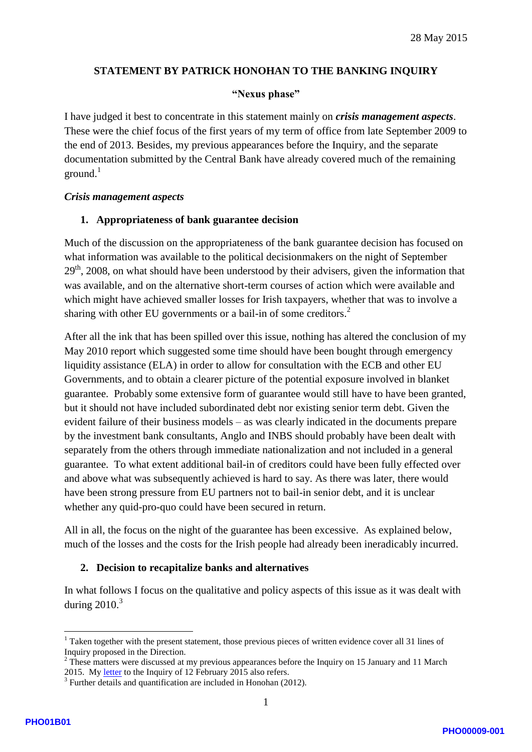### **STATEMENT BY PATRICK HONOHAN TO THE BANKING INQUIRY**

#### **"Nexus phase"**

I have judged it best to concentrate in this statement mainly on *crisis management aspects*. These were the chief focus of the first years of my term of office from late September 2009 to the end of 2013. Besides, my previous appearances before the Inquiry, and the separate documentation submitted by the Central Bank have already covered much of the remaining  $ground.<sup>1</sup>$ 

#### *Crisis management aspects*

### **1. Appropriateness of bank guarantee decision**

Much of the discussion on the appropriateness of the bank guarantee decision has focused on what information was available to the political decisionmakers on the night of September 29<sup>th</sup>, 2008, on what should have been understood by their advisers, given the information that was available, and on the alternative short -term courses of action which were available and which might have achieved smaller losses for Irish taxpayers, whether that was to involve a sharing with other EU governments or a bail-in of some creditors. $2$ 

After all the ink that has been spilled over this issue, nothing has altered the conclusion of my May 2010 report which suggested some time should have been bought through emergency liquidity assistance (ELA ) in order to allow for consultation with the ECB and other EU Governments, and to obtain a clearer picture of the potential exposure involved in blanket guarantee. Probably some extensive form of guarantee would still have to have been granted, but it should not have included subordinated debt nor existing senior term debt. Given the evident failure of their business models – as was clearly indicated in the documents prepare by the investment bank consultants, Anglo and INBS should probably have been dealt with separately from the others through immediate nationalization and not included in a general guarantee. To what extent additional bail -in of creditors could have been fully effected over and above what was subsequently achieved is hard to say. As there was later, there would have been strong pressure from EU partners not to bail -in senior debt, and it is unclear whether any quid-pro-quo could have been secured in return.

All in all, the focus on the night of the guarantee has been excessive. As explained below, much of the losses and the costs for the Irish people had already been ineradicably incurred.

### **2. Decision to recapitalize banks and alternatives**

In what follows I focus on the qualitative and policy aspects of this issue as it was dealt with during 2010. 3

<sup>&</sup>lt;sup>1</sup> Taken together with the present statement, those previous pieces of written evidence cover all 31 lines of

Inquiry proposed in the Direction.<br><sup>2</sup> These matters were discussed at my previous appearances before the Inquiry on 15 January and 11 March 2015. My letter to the Inquiry of 12 February 2015 also refers.

 $\frac{3}{10}$  Further details and quantification are included in Honohan (2012).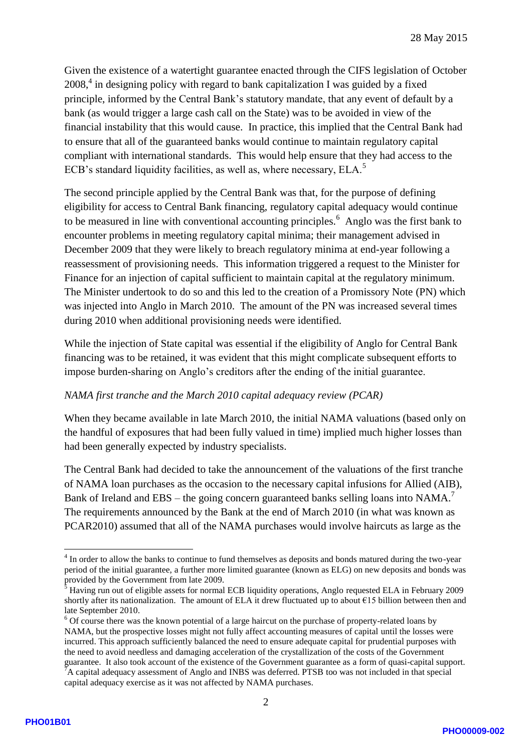Given the existence of a watertight guarantee enacted through the CIFS legislation of October 2008,<sup>4</sup> in designing policy with regard to bank capitalization I was guided by a fixed principle, informed by the Central Bank's statutory mandate, that any event of default by a bank (as would trigger a large cash call on the State ) was to be avoided in view of the financial instability that this would cause. In practice, this implied that the Central Bank had to ensure that all of the guaranteed banks would continue to maintain regulatory capital compliant with international standards. This would help ensure that they had access to the ECB's standard liquidity facilities, as well as, where necessary, ELA.<sup>5</sup>

The second principle applied by the Central Bank was that, for the purpose of defining eligibility for access to Central Bank financing, regulatory capital adequacy would continue to be measured in line with conventional accounting principles.<sup>6</sup> Anglo was the first bank to encounter problems in meeting regulatory capital minima; their management advised in December 2009 that they were likely to breach regulatory minima at end -year following a reassessment of provisioning needs. This information triggered a request to the Minister for Finance for an injection of capital sufficient to maintain capital at the regulatory minimum. The Minister undertook to do so and this led to the creation of a Promissory Note (PN) which was injected into Anglo in March 2010. The amount of the PN was increased several times during 2010 when additional provisioning needs were identified.

While the injection of State capital was essential if the eligibility of Anglo for Central Bank financing was to be retained, it was evident that this might complicate subsequent efforts to impose burden -sharing on Anglo's creditors after the ending of the initial guarantee.

### *NAMA first tranche and the March 2010 capital adequacy review (PCAR)*

When they became available in late March 2010, the initial NAMA valuations (based only on the handful of exposures that had been fully valued in time) implied much higher losses than had been generally expected by industry specialists.

The Central Bank had decided to take the announcement of the valuations of the first tranche of NAMA loan purchases as the occasion to the necessary capital infusions for Allied (AIB), Bank of Ireland and EBS – the going concern guaranteed banks selling loans into NAMA.<sup>7</sup> The requirements announced by the Bank at the end of March 2010 (in what was known as PCAR2010) assumed that all of the NAMA purchases would involve haircuts as large as the

 $\frac{1}{4}$ In order to allow the banks to continue to fund themselves as deposits and bonds matured during the two-year period of the initial guarantee, a further more limited guarantee (known as ELG) on new deposits and bonds was provided by the Government from late 2009.

 $\delta$  Having run out of eligible assets for normal ECB liquidity operations, Anglo requested ELA in February 2009 shortly after its nationalization. The amount of ELA it drew fluctuated up to about  $\epsilon$ 15 billion between then and

late September 2010.<br><sup>6</sup> Of course there was the known potential of a large haircut on the purchase of property-related loans by NAMA, but the prospective losses might not fully affect accounting measures of capital until the losses were incurred. This approach sufficiently balanced the need to ensure adequate capital for prudential purposes with the need to avoid needless and damaging acceleration of the crystallization of the costs of the Government guarantee. It also took account of the existence of the Government guarantee as a form of quasi -capital support.  $\overline{P}$ A capital adequacy assessment of Anglo and INBS was deferred. PTSB too was not included in that special capital adequacy exercise as it was not affected by NAMA purchases.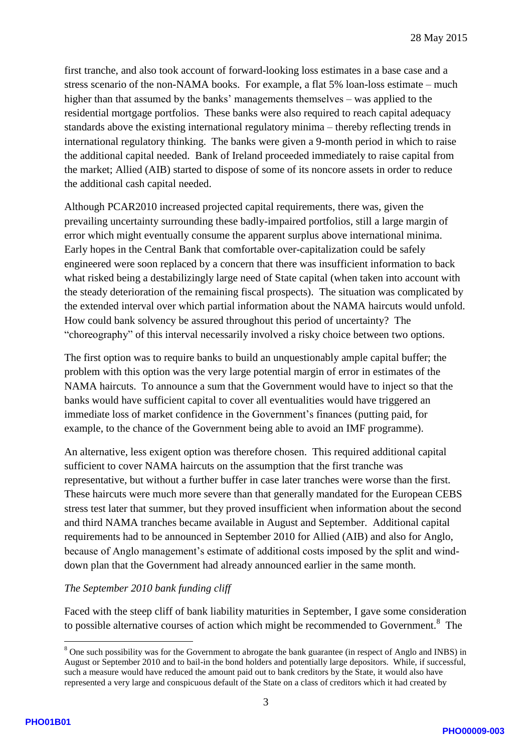first tranche, and also took account of forward -looking loss estimate s in a base case and a stress scenario of the non-NAMA books. For example, a flat 5% loan-loss estimate – much higher than that assumed by the banks' managements themselves – was applied to the residential mortgage portfolios. These banks were also required to reach capital adequacy standards above the existing international regulatory minima – thereby reflecting trends in international regulatory thinking. The banks were given a 9 -month period in which to raise the additional capital needed. Bank of Ireland proceeded immediately to raise capital from the market; Allied (AIB ) started to dispose of some of its noncore assets in order to reduce the additional cash capital needed.

Although PCAR2010 increased projected capital requirements, there was, given the prevailing uncertainty surrounding these badly -impaired portfolios, still a large margin of error which might eventually consume the apparent surplus above international minima. Early hopes in the Central Bank that comfortable over -capitalization could be safely engineered were soon replaced by a concern that there was insufficient information to back what risked being a destabilizingly large need of State capital (when taken into account with the steady deterioration of the remaining fiscal prospects). The situation was complicated by the extended interval over which partial information about the NAMA haircuts would unfold. How could bank solvency be assured throughout this period of uncertainty? The "choreography" of this interval necessarily involved a risky choice between two options.

The first option was to require banks to build an unquestionably ample capital buffer; the problem with this option was the very large potential margin of error in estimates of the NAMA haircuts. To announce a sum that the Government would have to inject so that the banks would have sufficient capital to cover all eventualities would have triggered an immediate loss of market confidence in the Government's finances (putting paid, for example, to the chance of the Government being able to avoid an IMF programme ) .

An alternative, less exigent option was therefore chosen. This required additional capital sufficient to cover NAMA haircuts on the assumption that the first tranche was representative, but without a further buffer in case later tranches were worse than the first. These haircuts were much more severe than that generally mandated for the European CEBS stress test later that summer, but they proved insufficient when information about the second and third NAMA tranches became available in August and September. Additional capital requirements had to be announced in September 2010 for Allied (AIB) and also for Anglo, because of Anglo management's estimate of additional costs imposed by the split and wind down plan that the Government had already announced earlier in the same month.

# *The September 2010 bank funding cliff*

Faced with the steep cliff of bank liability maturities in September, I gave some consideration to possible alternative courses of action which might be recommended to Government.<sup>8</sup> The

<sup>&</sup>lt;sup>8</sup> One such possibility was for the Government to abrogate the bank guarantee (in respect of Anglo and INBS) in August or September 2010 and to bail -in the bond holders and potentially large depositors. While, if successful, such a measure would have reduced the amount paid out to bank creditors by the State, it would also have represented a very large and conspicuous default of the State on a class of creditors which it had created by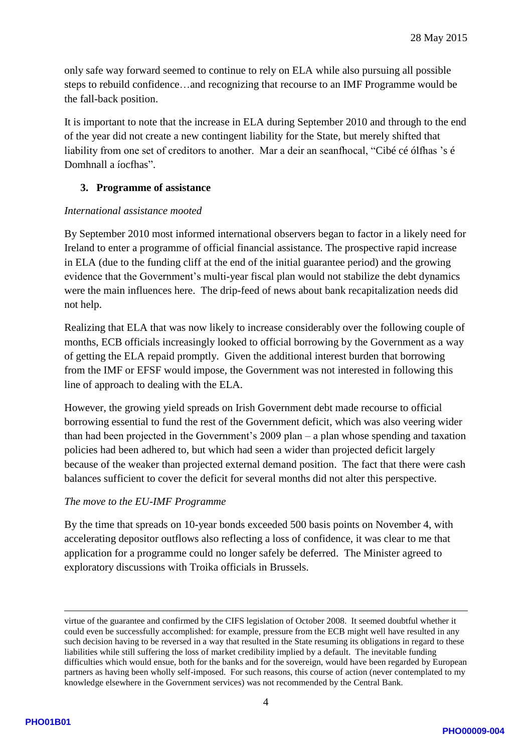only safe way forward seemed to continue to rely on ELA while also pursuing all possible steps to rebuild confidence …and recognizing that recourse to an IMF Programme would be the fall -back position.

It is important to note that the increase in ELA during September 2010 and through to the end of the year did not create a new contingent liability for the State, but merely shifted that liability from one set of creditors to another. Mar a deir an seanfhocal, "Cibé cé ólfhas 's é Domhnall a íocfhas".

## **3. Programme of assistance**

## *International assistance mooted*

By September 2010 most informed international observers began to factor in a likely need for Ireland to enter a programme of official financial assistance. The prospective rapid increase in ELA (due to the funding cliff at the end of the initial guarantee period) and the growing evidence that the Government's multi -year fiscal plan would not stabilize the debt dynamics were the main influences here. The drip -feed of news about bank recapitalization needs did not help.

Realizing that ELA that was now likely to increase considerably over the following couple of months, ECB officials increasingly looked to official borrowing by the Government as a way of getting the ELA repaid promptly. Given the additional interest burden that borrowing from the IMF or EFSF would impose, the Government was not interested in following this line of approach to dealing with the ELA.

However, the growing yield spreads on Irish Government debt made recourse to official borrowing essential to fund the rest of the Government deficit, which was also veering wider than had been projected in the Government's 2009 plan – a plan whose spending and taxation policies had been adhered to, but which had seen a wider than projected deficit largely because of the weaker than projected external demand position. The fact that there were cash balances sufficient to cover the deficit for several months did not alter this perspective.

# *The move to the EU -IMF Programme*

By the time that spreads on 10 -year bonds exceeded 500 basis points on November 4, with accelerating depositor outflows also reflecting a loss of confidence, it was clear to me that application for a programme could no longer safely be deferred. The Minister agreed to exploratory discussions with Troika officials in Brussels.

1

virtue of the guarantee and confirmed by the CIFS legislation of October 2008. It seemed doubtful whether it could even be successfully accomplished: for example, pressure from the ECB might well have resulted in any such decision having to be reversed in a way that resulted in the State resuming its obligations in regard to these liabilities while still suffering the loss of market credibility implied by a default. The inevitable funding difficulties which would ensue, both for the banks and for the sovereign, would have been regarded by European partners as having been wholly self -imposed. For such reasons, this course of action (never contemplated to my knowledge elsewhere in the Government services) was not recommended by the Central Bank.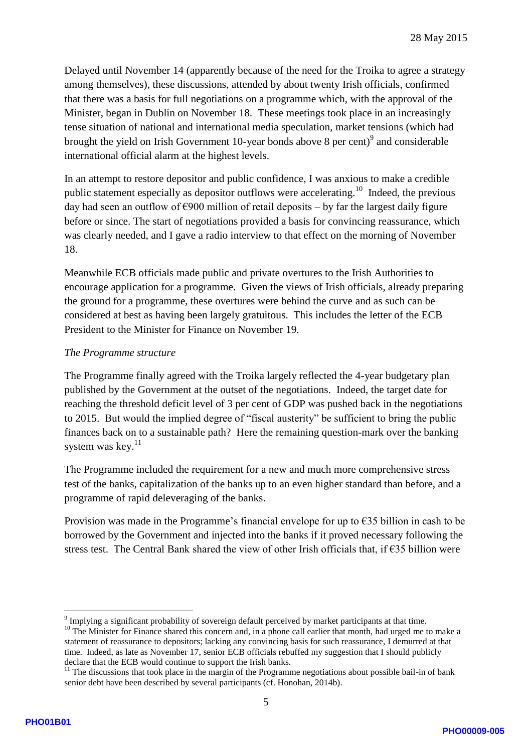Delayed until November 14 (apparently because of the need for the Troika to agree a strategy among themselves), these discussions, attended by about twenty Irish officials , confirmed that there was a basis for full negotiations on a programme which, with the approval of the Minister, began in Dublin on November 18. These meetings took place in an increasingly tense situation of national and international media speculation, market tensions (which had brought the yield on Irish Government 10-year bonds above 8 per cent)<sup>9</sup> and considerable international official alarm at the highest levels.

In an attempt to restore depositor and public confidence, I was anxious to make a credible public statement especially as depositor outflows were accelerating.<sup>10</sup> Indeed, the previous day had seen an outflow of €900 million of retail deposits – by far the largest daily figure before or since. The start of negotiations provided a basis for convincing reassurance, which was clearly needed, and I gave a radio interview to that effect on the morning of November 18 .

Meanwhile ECB officials made public and private overtures to the Irish Authorities to encourage application for a programme. Given the views of Irish officials, already preparing the ground for a programme, these overtures were behind the curve and as such can be considered at best as having been largely gratuitous. This includes the letter of the ECB President to the Minister for Finance on November 19.

## *The Programme structure*

The Programme finally agreed with the Troika largely reflected the 4 -year budgetary plan published by the Government at the outset of the negotiations. Indeed, the target date for reaching the threshold deficit level of 3 per cent of GDP was pushed back in the negotiations to 2015. But would the implied degree of "fiscal austerity" be sufficient to bring the public finances back on to a sustainable path? Here the remaining question -mark over the banking system was key. $11$ 

The Programme included the requirement for a new and much more comprehensive stress test of the banks, capitalization of the banks up to an even higher standard than before, and a programme of rapid deleveraging of the banks.

Provision was made in the Programme's financial envelope for up to  $\epsilon$ 35 billion in cash to be borrowed by the Government and injected into the banks if it proved necessary following the stress test. The Central Bank shared the view of other Irish officials that, if  $\epsilon$ 35 billion were

<sup>-&</sup>lt;br>9  $9$  Implying a significant probability of sovereign default perceived by market participants at that time.

<sup>&</sup>lt;sup>10</sup> The Minister for Finance shared this concern and, in a phone call earlier that month, had urged me to make a statement of reassurance to depositors; lacking any convincing basis for such reassurance, I demurred at that time. Indeed, as late as November 17, senior ECB officials rebuffed my suggestion that I should publicly declare that the ECB would continue to support the Irish banks.

 $11$  The discussions that took place in the margin of the Programme negotiations about possible bail-in of bank senior debt have been described by several participants (cf. Honohan, 2014b).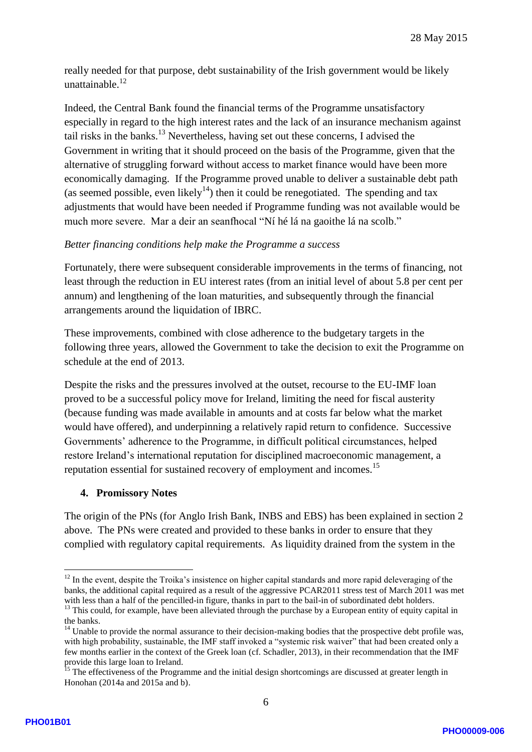really needed for that purpose, debt sustainability of the Irish government would be likely unattainable.<sup>12</sup>

Indeed, the Central Bank found the financial terms of the Programme unsatisfactory especially in regard to the high interest rates and the lack of an insurance mechanism against tail risks in the banks.<sup>13</sup> Nevertheless, having set out these concerns, I advised the Government in writing that it should proceed on the basis of the Programme, given that the alternative of struggling forward without access to market finance would have been more economically damaging. If the Programme proved unable to deliver a sustainable debt path (as seemed possible, even likely<sup>14</sup>) then it could be renegotiated. The spending and tax adjustments that would have been needed if Programme funding was not available would be much more severe. Mar a deir an seanfhocal "Ní hé lá na gaoithe lá na scolb."

### *Better financing conditions help make the Programme a success*

Fortunately, there were subsequent considerable improvements in the terms of financing, not least through the reduction in EU interest rates (from an initial level of about 5.8 per cent per annum) and lengthening of the loan maturities, and subsequently through the financial arrangements around the liquidation of IBRC.

These improvements, combined with close adherence to the budgetary targets in the following three years, allowed the Government to take the decision to exit the Programme on schedule at the end of 2013.

Despite the risks and the pressures involved at the outset, recourse to the EU -IMF loan proved to be a successful policy move for Ireland, limiting the need for fiscal austerity (because funding was made available in amounts and at costs far below what the market would have offered), and underpinning a relatively rapid return to confidence. Successive Governments' adherence to the Programme, in difficult political circumstances, helped restore Ireland's international reputation for disciplined macroeconomic management, a reputation essential for sustained recovery of employment and incomes.<sup>15</sup>

#### **4. Promissory Notes**

The origin of the PNs (for Anglo Irish Bank, INBS and EBS) has been explained in section 2 above. The PNs were created and provided to these banks in order to ensure that they complied with regulatory capital requirements. As liquidity drained from the system in the

<sup>&</sup>lt;u>.</u> <sup>12</sup> In the event, despite the Troika's insistence on higher capital standards and more rapid deleveraging of the banks, the additional capital required as a result of the aggressive PCAR2011 stress test of March 2011 was met with less than a half of the pencilled-in figure, thanks in part to the bail-in of subordinated debt holders.

<sup>&</sup>lt;sup>13</sup> This could, for example, have been alleviated through the purchase by a European entity of equity capital in the banks.

 $14$  Unable to provide the normal assurance to their decision-making bodies that the prospective debt profile was, with high probability, sustainable, the IMF staff invoked a "systemic risk waiver" that had been created only a few months earlier in the context of the Greek loan (cf. Schadler, 2013), in their recommendation that the IMF provide this large loan to Ireland.

 $15$  The effectiveness of the Programme and the initial design shortcomings are discussed at greater length in Honohan (2014a and 2015a and b) .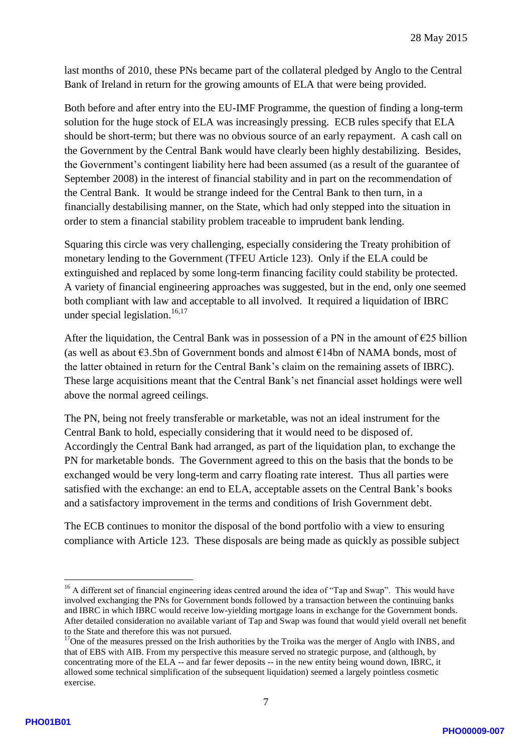last months of 2010, these PNs became part of the collateral pledged by Anglo to the Central Bank of Ireland in return for the growing amounts of ELA that were being provided.

Both before and after entry into the EU -IMF Programme, the question of finding a long -term solution for the huge stock of ELA was increasingly pressing. ECB rules specify that ELA should be short -term; but there was no obvious source of an early repayment. A cash call on the Government by the Central Bank would have clearly been highly destabilizing. Besides, the Government's contingent liability here had been assumed (as a result of the guarantee of September 2008) in the interest of financial stability and in part on the recommendation of the Central Bank. It would be strange indeed for the Central Bank to then turn , in a financially destabilising manner, on the State , which had only stepped into the situation in order to stem a financial stability problem traceable to imprudent bank lending.

Squaring this circle was very challenging, especially considering the Treaty prohibition of monetary lending to the Government (TFEU Article 123). Only if the ELA could be extinguished and replaced by some long-term financing facility could stability be protected. A variety of financial engineering approaches was suggested, but in the end, only one seemed both compliant with law and acceptable to all involved. It required a liquidation of IBRC under special legislation.<sup>16,17</sup>

After the liquidation, the Central Bank was in possession of a PN in the amount of  $E25$  billion (as well as about  $\epsilon$ 3.5bn of Government bonds and almost  $\epsilon$ 14bn of NAMA bonds, most of the latter obtained in return for the Central Bank's claim on the remaining assets of IBRC). These large acquisitions meant that the Central Bank's net financial asset holding s were well above the normal agreed ceilings.

The PN, being not freely transferable or marketable, was not an ideal instrument for the Central Bank to hold, especially considering that it would need to be disposed of. Accordingly the Central Bank had arranged, as part of the liquidation plan, to exchange the PN for marketable bonds. The Government agreed to this on the basis that the bonds to be exchanged would be very long-term and carry floating rate interest. Thus all parties were satisfied with the exchange: an end to ELA, acceptable assets on the Central Bank's books and a satisfactory improvement in the terms and conditions of Irish Government debt .

The ECB continues to monitor the disposal of the bond portfolio with a view to ensuring compliance with Article 123. These disposals are being made as quickly as possible subject

1

<sup>&</sup>lt;sup>16</sup> A different set of financial engineering ideas centred around the idea of "Tap and Swap". This would have involved exchanging the PNs for Government bonds followed by a transaction between the continuing banks and IBRC in which IBRC would receive low -yielding mortgage loans in exchange for the Government bonds. After detailed consideration no available variant of Tap and Swap was found that would yield overall net benefit to the State and therefore this was not pursued.

<sup>&</sup>lt;sup>17</sup>One of the measures pressed on the Irish authorities by the Troika was the merger of Anglo with INBS, and that of EBS with AIB. From my perspective this measure served no strategic purpose, and (although, by concentrating more of the ELA -- and far fewer deposits -- in the new entity being wound down, IBRC, it allowed some technical simplification of the subsequent liquidation) seemed a largely pointless cosmetic exercise .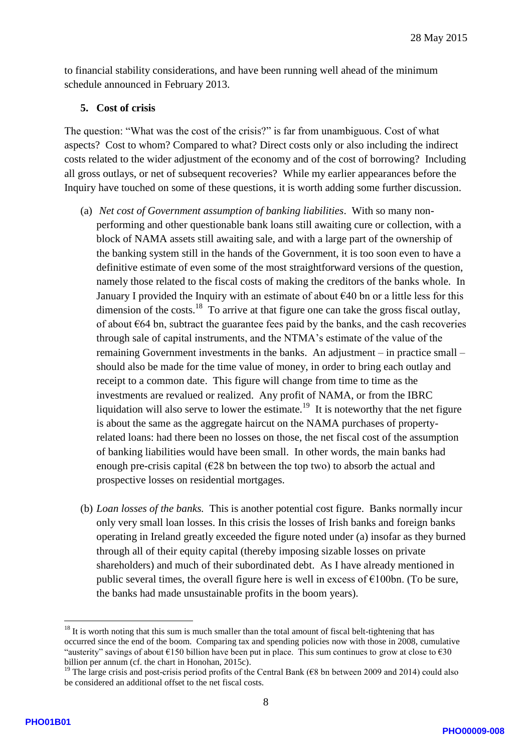to financial stability considerations, and have been running well ahead of the minimum schedule announced in February 2013.

### **5. Cost of crisis**

The question: "What was the cost of the crisis?" is far from unambiguous. Cost of what aspects? Cost to whom? Compared to what? Direct costs only or also including the indirect costs related to the wider adjustment of the economy and of the cost of borrowing? Including all gross outlays, or net of subsequent recoveries? While my earlier appearances before the Inquiry have touched on some of these questions, it is worth adding some further discussion.

- (a) *Net cost of Government assumption of banking liabilities*. With so many non performing and other questionable bank loans still awaiting cure or collection, with a block of NAMA assets still awaiting sale, and with a large part of the ownership of the banking system still in the hands of the Government, it is too soon even to have a definitive estimate of even some of the most straightforward versions of the question, namely those related to the fiscal costs of making the creditors of the banks whole. In January I provided the Inquiry with an estimate of about  $\epsilon$ 40 bn or a little less for this dimension of the costs. $^{18}$  To arrive at that figure one can take the gross fiscal outlay, of about  $664$  bn, subtract the guarantee fees paid by the banks, and the cash recoveries through sale of capital instruments, and the NTMA's estimate of the value of the remaining Government investments in the banks. An adjustment – in practice small – should also be made for the time value of money, in order to bring each outlay and receipt to a common date. This figure will change from time to time as the investments are revalued or realized. Any profit of NAMA, or from the IBRC liquidation will also serve to lower the estimate.<sup>19</sup> It is noteworthy that the net figure is about the same as the aggregate haircut on the NAMA purchases of property related loans: had there been no losses on those, the net fiscal cost of the assumption of banking liabilities would have been small. In other words, the main banks had enough pre-crisis capital ( $E28$  bn between the top two) to absorb the actual and prospective losses on residential mortgages.
- (b) *Loan losses of the banks.* This is another potential cost figure. Banks normally incur only very small loan losses. In this crisis the losses of Irish banks and foreign banks operating in Ireland greatly exceeded the figure noted under (a) insofar as they burned through all of their equity capital (thereby imposing sizable losses on private shareholders) and much of their subordinated debt. As I have already mentioned in public several times, the overall figure here is well in excess of  $\epsilon$ 100bn. (To be sure, the banks had made unsustainable profits in the boom years).

<sup>1</sup> <sup>18</sup> It is worth noting that this sum is much smaller than the total amount of fiscal belt-tightening that has occurred since the end of the boom. Comparing tax and spending policies now with those in 2008, cumulative "austerity" savings of about  $\epsilon$ 150 billion have been put in place. This sum continues to grow at close to  $\epsilon$ 30 billion per annum (cf. the chart in Honohan, 2015c) .

<sup>&</sup>lt;sup>19</sup> The large crisis and post-crisis period profits of the Central Bank ( $\epsilon$ 8 bn between 2009 and 2014) could also be considered an additional offset to the net fiscal costs.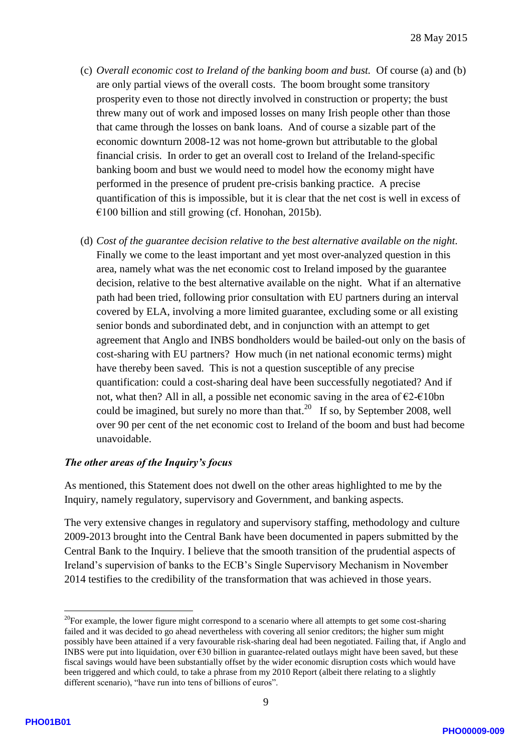- (c) *Overall economic cost to Ireland of the banking boom and bust.* Of course (a) and (b) are only partial views of the overall costs. The boom brought some transitory prosperity even to those not directly involved in construction or property; the bust threw many out of work and imposed losses on many Irish people other than those that came through the losses on bank loans. And of course a sizable part of the economic downturn 2008 -12 was not home -grown but attributable to the global financial crisis. In order to get an overall cost to Ireland of the Ireland -specific banking boom and bust we would need to model how the economy might have performed in the presence of prudent pre -crisis banking practice. A precise quantification of this is impossible, but it is clear that the net cost is well in excess of €100 billion and still growing (cf. Honohan, 2015b) .
- (d) *Cost of the guarantee decision relative to the best alternative available on the night.*  Finally we come to the least important and yet most over -analyzed question in this area, namely what was the net economic cost to Ireland imposed by the guarantee decision, relative to the best alternative available on the night. What if an alternative path had been tried, following prior consultation with EU partners during an interval covered by ELA, involving a more limited guarantee, excluding some or all existing senior bonds and subordinated debt, and in conjunction with an attempt to get agreement that Anglo and INBS bondholders would be bailed -out only on the basis of cost -sharing with EU partners? How much (in net national economic terms) might have thereby been saved. This is not a question susceptible of any precise quantification: could a cost -sharing deal have been successfully negotiated? And if not, what then? All in all, a possible net economic saving in the area of  $\epsilon$ 2- $\epsilon$ 10bn could be imagined, but surely no more than that.<sup>20</sup> If so, by September 2008, well over 90 per cent of the net economic cost to Ireland of the boom and bust had become unavoidable.

### *The other areas of the Inquiry's focus*

As mentioned, this Statement does not dwell on the other areas highlighted to me by the Inquiry, namely regulatory, supervisory and Government, and banking aspects .

The very extensive changes in regulatory and supervisory staffing, methodology and culture 2009 -2013 brought into the Central Bank have been documented in papers submitted by the Central Bank to the Inquiry. I believe that the smooth transition of the prudential aspects of Ireland's supervision of banks to the ECB's Single Supervisory Mechanism in November 2014 testifies to the credibility of the transformation that was achieved in those years.

1

 $20$ For example, the lower figure might correspond to a scenario where all attempts to get some cost-sharing failed and it was decided to go ahead nevertheless with covering all senior creditors; the higher sum might possibly have been attained if a very favourable risk-sharing deal had been negotiated. Failing that, if Anglo and INBS were put into liquidation, over  $\epsilon$ 30 billion in guarantee-related outlays might have been saved, but these fiscal savings would have been substantially offset by the wider economic disruption costs which would have been triggered and which could, to take a phrase from my 2010 Report (albeit there relating to a slightly different scenario), "have run into tens of billions of euros".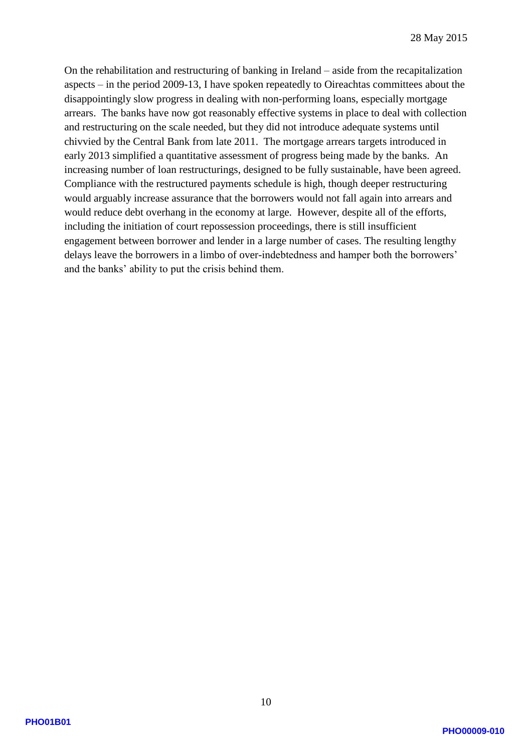On the rehabilitation and restructuring of banking in Ireland – aside from the recapitalization aspects – in the period 2009 -13, I have spoken repeatedly to Oireachtas committees about the disappointingly slow progress in dealing with non -performing loans, especially mortgage arrears. The banks have now got reasonably effective systems in place to deal with collection and restructuring on the scale needed, but they did not introduce adequate systems until chivvied by the Central Bank from late 2011. The mortgage arrears targets introduced in early 2013 simplified a quantitative assessment of progress being made by the banks. An increasing number of loan restructurings, designed to be fully sustainable , have been agreed. Compliance with the restructured payments schedule is high, though deeper restructuring would arguably increase assurance that the borrowers would not fall again into arrears and would reduce debt overhang in the economy at large. However, despite all of the efforts, including the initiation of court repossession proceedings, there is still insufficient engagement between borrower and lender in a large number of cases. The resulting lengthy delays leave the borrowers in a limbo of over -indebtedness and hamper both the borrowers' and the banks' ability to put the crisis behind them.